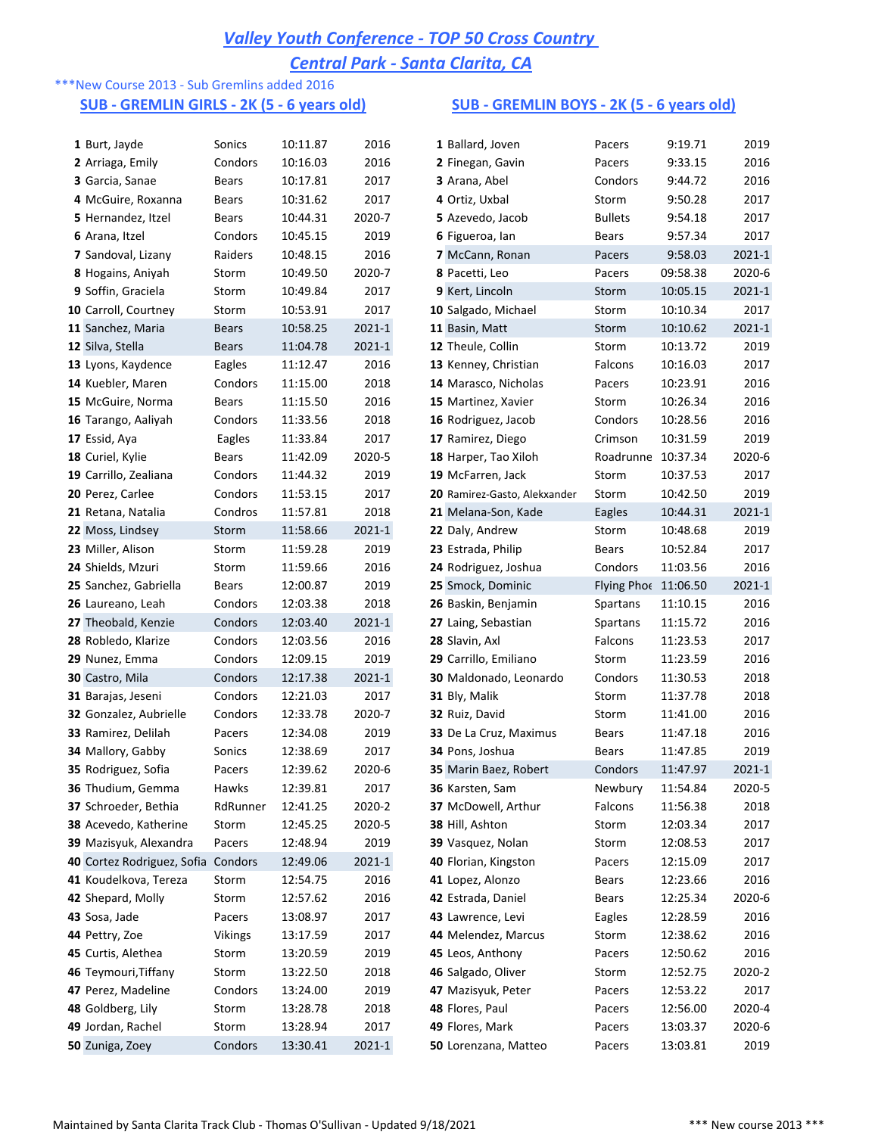# *Valley Youth Conference - TOP 50 Cross Country*

*Central Park - Santa Clarita, CA*

# \*\*\*New Course 2013 - Sub Gremlins added 2016

### **SUB - GREMLIN GIRLS - 2K (5 - 6 years old) SUB - GREMLIN BOYS - 2K (5 - 6 years old)**

| 1 Burt, Jayde                      | Sonics         | 10:11.87 | 2016       | 1 Ballard, Joven             | Pacers               | 9:19.71  | 2019   |
|------------------------------------|----------------|----------|------------|------------------------------|----------------------|----------|--------|
| 2 Arriaga, Emily                   | Condors        | 10:16.03 | 2016       | 2 Finegan, Gavin             | Pacers               | 9:33.15  | 2016   |
| 3 Garcia, Sanae                    | Bears          | 10:17.81 | 2017       | 3 Arana, Abel                | Condors              | 9:44.72  | 2016   |
| 4 McGuire, Roxanna                 | Bears          | 10:31.62 | 2017       | 4 Ortiz, Uxbal               | Storm                | 9:50.28  | 2017   |
| 5 Hernandez, Itzel                 | Bears          | 10:44.31 | 2020-7     | 5 Azevedo, Jacob             | <b>Bullets</b>       | 9:54.18  | 2017   |
| 6 Arana, Itzel                     | Condors        | 10:45.15 | 2019       | 6 Figueroa, Ian              | Bears                | 9:57.34  | 2017   |
| <b>7</b> Sandoval, Lizany          | Raiders        | 10:48.15 | 2016       | <b>7</b> McCann, Ronan       | Pacers               | 9:58.03  | 2021-1 |
| 8 Hogains, Aniyah                  | Storm          | 10:49.50 | 2020-7     | 8 Pacetti, Leo               | Pacers               | 09:58.38 | 2020-6 |
| 9 Soffin, Graciela                 | Storm          | 10:49.84 | 2017       | 9 Kert, Lincoln              | Storm                | 10:05.15 | 2021-1 |
| 10 Carroll, Courtney               | Storm          | 10:53.91 | 2017       | 10 Salgado, Michael          | Storm                | 10:10.34 | 2017   |
| 11 Sanchez, Maria                  | <b>Bears</b>   | 10:58.25 | 2021-1     | 11 Basin, Matt               | Storm                | 10:10.62 | 2021-1 |
| 12 Silva, Stella                   | <b>Bears</b>   | 11:04.78 | 2021-1     | 12 Theule, Collin            | Storm                | 10:13.72 | 2019   |
| 13 Lyons, Kaydence                 | Eagles         | 11:12.47 | 2016       | 13 Kenney, Christian         | Falcons              | 10:16.03 | 2017   |
| 14 Kuebler, Maren                  | Condors        | 11:15.00 | 2018       | 14 Marasco, Nicholas         | Pacers               | 10:23.91 | 2016   |
| 15 McGuire, Norma                  | Bears          | 11:15.50 | 2016       | 15 Martinez, Xavier          | Storm                | 10:26.34 | 2016   |
| 16 Tarango, Aaliyah                | Condors        | 11:33.56 | 2018       | 16 Rodriguez, Jacob          | Condors              | 10:28.56 | 2016   |
| 17 Essid, Aya                      | Eagles         | 11:33.84 | 2017       | 17 Ramirez, Diego            | Crimson              | 10:31.59 | 2019   |
| 18 Curiel, Kylie                   | Bears          | 11:42.09 | 2020-5     | 18 Harper, Tao Xiloh         | Roadrunne 10:37.34   |          | 2020-6 |
| 19 Carrillo, Zealiana              | Condors        | 11:44.32 | 2019       | 19 McFarren, Jack            | Storm                | 10:37.53 | 2017   |
| 20 Perez, Carlee                   | Condors        | 11:53.15 | 2017       | 20 Ramirez-Gasto, Alekxander | Storm                | 10:42.50 | 2019   |
| 21 Retana, Natalia                 | Condros        | 11:57.81 | 2018       | 21 Melana-Son, Kade          | Eagles               | 10:44.31 | 2021-1 |
| 22 Moss, Lindsey                   | Storm          | 11:58.66 | 2021-1     | 22 Daly, Andrew              | Storm                | 10:48.68 | 2019   |
| 23 Miller, Alison                  | Storm          | 11:59.28 | 2019       | 23 Estrada, Philip           | Bears                | 10:52.84 | 2017   |
| 24 Shields, Mzuri                  | Storm          | 11:59.66 | 2016       | 24 Rodriguez, Joshua         | Condors              | 11:03.56 | 2016   |
| 25 Sanchez, Gabriella              | Bears          | 12:00.87 | 2019       | 25 Smock, Dominic            | Flying Phoe 11:06.50 |          | 2021-1 |
| 26 Laureano, Leah                  | Condors        | 12:03.38 | 2018       | 26 Baskin, Benjamin          | Spartans             | 11:10.15 | 2016   |
| 27 Theobald, Kenzie                | Condors        | 12:03.40 | 2021-1     | 27 Laing, Sebastian          | Spartans             | 11:15.72 | 2016   |
| 28 Robledo, Klarize                | Condors        | 12:03.56 | 2016       | 28 Slavin, Axl               | Falcons              | 11:23.53 | 2017   |
| 29 Nunez, Emma                     | Condors        | 12:09.15 | 2019       | 29 Carrillo, Emiliano        | Storm                | 11:23.59 | 2016   |
| 30 Castro, Mila                    | Condors        | 12:17.38 | 2021-1     | 30 Maldonado, Leonardo       | Condors              | 11:30.53 | 2018   |
| 31 Barajas, Jeseni                 | Condors        | 12:21.03 | 2017       | 31 Bly, Malik                | Storm                | 11:37.78 | 2018   |
| 32 Gonzalez, Aubrielle             | Condors        | 12:33.78 | 2020-7     | 32 Ruiz, David               | Storm                | 11:41.00 | 2016   |
| 33 Ramirez, Delilah                | Pacers         | 12:34.08 | 2019       | 33 De La Cruz, Maximus       | Bears                | 11:47.18 | 2016   |
| 34 Mallory, Gabby                  | Sonics         | 12:38.69 | 2017       | 34 Pons, Joshua              | <b>Bears</b>         | 11:47.85 | 2019   |
| 35 Rodriguez, Sofia                | Pacers         | 12:39.62 | 2020-6     | 35 Marin Baez, Robert        | Condors              | 11:47.97 | 2021-1 |
| 36 Thudium, Gemma                  | Hawks          | 12:39.81 | 2017       | 36 Karsten, Sam              | Newbury              | 11:54.84 | 2020-5 |
| 37 Schroeder, Bethia               | RdRunner       | 12:41.25 | 2020-2     | 37 McDowell, Arthur          | Falcons              | 11:56.38 | 2018   |
| 38 Acevedo, Katherine              | Storm          | 12:45.25 | 2020-5     | 38 Hill, Ashton              | Storm                | 12:03.34 | 2017   |
| 39 Mazisyuk, Alexandra             | Pacers         | 12:48.94 | 2019       | 39 Vasquez, Nolan            | Storm                | 12:08.53 | 2017   |
| 40 Cortez Rodriguez, Sofia Condors |                | 12:49.06 | 2021-1     | 40 Florian, Kingston         | Pacers               | 12:15.09 | 2017   |
| 41 Koudelkova, Tereza              | Storm          | 12:54.75 | 2016       | 41 Lopez, Alonzo             | Bears                | 12:23.66 | 2016   |
| 42 Shepard, Molly                  | Storm          | 12:57.62 | 2016       | 42 Estrada, Daniel           | Bears                | 12:25.34 | 2020-6 |
| 43 Sosa, Jade                      | Pacers         | 13:08.97 | 2017       | 43 Lawrence, Levi            | Eagles               | 12:28.59 | 2016   |
| 44 Pettry, Zoe                     | <b>Vikings</b> | 13:17.59 | 2017       | 44 Melendez, Marcus          | Storm                | 12:38.62 | 2016   |
| 45 Curtis, Alethea                 | Storm          | 13:20.59 | 2019       | 45 Leos, Anthony             | Pacers               | 12:50.62 | 2016   |
| 46 Teymouri, Tiffany               | Storm          | 13:22.50 | 2018       | 46 Salgado, Oliver           | Storm                | 12:52.75 | 2020-2 |
| 47 Perez, Madeline                 | Condors        | 13:24.00 | 2019       | 47 Mazisyuk, Peter           | Pacers               | 12:53.22 | 2017   |
| 48 Goldberg, Lily                  | Storm          | 13:28.78 | 2018       | 48 Flores, Paul              | Pacers               | 12:56.00 | 2020-4 |
| 49 Jordan, Rachel                  | Storm          | 13:28.94 | 2017       | 49 Flores, Mark              | Pacers               | 13:03.37 | 2020-6 |
| 50 Zuniga, Zoey                    | Condors        | 13:30.41 | $2021 - 1$ | 50 Lorenzana, Matteo         | Pacers               | 13:03.81 | 2019   |
|                                    |                |          |            |                              |                      |          |        |

| 1 Ballard, Joven             | Pacers         | 9:19.71  | 2019   |
|------------------------------|----------------|----------|--------|
| 2 Finegan, Gavin             | Pacers         | 9:33.15  | 2016   |
| 3 Arana, Abel                | Condors        | 9:44.72  | 2016   |
| 4 Ortiz, Uxbal               | Storm          | 9:50.28  | 2017   |
| 5 Azevedo, Jacob             | <b>Bullets</b> | 9:54.18  | 2017   |
| 6 Figueroa, Ian              | Bears          | 9:57.34  | 2017   |
| 7 McCann, Ronan              | Pacers         | 9:58.03  | 2021-1 |
| 8 Pacetti, Leo               | Pacers         | 09:58.38 | 2020-6 |
| 9 Kert, Lincoln              | Storm          | 10:05.15 | 2021-1 |
| 10 Salgado, Michael          | Storm          | 10:10.34 | 2017   |
| 11 Basin, Matt               | Storm          | 10:10.62 | 2021-1 |
| 12 Theule, Collin            | Storm          | 10:13.72 | 2019   |
| 13 Kenney, Christian         | Falcons        | 10:16.03 | 2017   |
| 14 Marasco, Nicholas         | Pacers         | 10:23.91 | 2016   |
| 15 Martinez, Xavier          | Storm          | 10:26.34 | 2016   |
| 16 Rodriguez, Jacob          | Condors        | 10:28.56 | 2016   |
| 17 Ramirez, Diego            | Crimson        | 10:31.59 | 2019   |
| 18 Harper, Tao Xiloh         | Roadrunne      | 10:37.34 | 2020-6 |
| 19 McFarren, Jack            | Storm          | 10:37.53 | 2017   |
| 20 Ramirez-Gasto, Alekxander | Storm          | 10:42.50 | 2019   |
| 21 Melana-Son, Kade          | Eagles         | 10:44.31 | 2021-1 |
| 22 Daly, Andrew              | Storm          | 10:48.68 | 2019   |
| 23 Estrada, Philip           | Bears          | 10:52.84 | 2017   |
| 24 Rodriguez, Joshua         | Condors        | 11:03.56 | 2016   |
| 25 Smock, Dominic            | Flying Phoe    | 11:06.50 | 2021-1 |
| 26 Baskin, Benjamin          | Spartans       | 11:10.15 | 2016   |
| 27 Laing, Sebastian          | Spartans       | 11:15.72 | 2016   |
| 28 Slavin, Axl               | Falcons        | 11:23.53 | 2017   |
| 29 Carrillo, Emiliano        | Storm          | 11:23.59 | 2016   |
| 30 Maldonado, Leonardo       | Condors        | 11:30.53 | 2018   |
| 31 Bly, Malik                | Storm          | 11:37.78 | 2018   |
| 32 Ruiz, David               | Storm          | 11:41.00 | 2016   |
| 33 De La Cruz, Maximus       | Bears          | 11:47.18 | 2016   |
| 34 Pons, Joshua              | Bears          | 11:47.85 | 2019   |
| 35 Marin Baez, Robert        | Condors        | 11:47.97 | 2021-1 |
| 36 Karsten, Sam              | Newbury        | 11:54.84 | 2020-5 |
| 37 McDowell, Arthur          | Falcons        | 11:56.38 | 2018   |
| 38 Hill, Ashton              | Storm          | 12:03.34 | 2017   |
| 39 Vasquez, Nolan            | Storm          | 12:08.53 | 2017   |
| 40 Florian, Kingston         | Pacers         | 12:15.09 | 2017   |
| 41 Lopez, Alonzo             | Bears          | 12:23.66 | 2016   |
| 42 Estrada, Daniel           | Bears          | 12:25.34 | 2020-6 |
| 43 Lawrence, Levi            | Eagles         | 12:28.59 | 2016   |
| 44 Melendez, Marcus          | Storm          | 12:38.62 | 2016   |
| 45 Leos, Anthony             | Pacers         | 12:50.62 | 2016   |
| 46 Salgado, Oliver           | Storm          | 12:52.75 | 2020-2 |
| 47 Mazisyuk, Peter           | Pacers         | 12:53.22 | 2017   |
| 48 Flores, Paul              | Pacers         | 12:56.00 | 2020-4 |
|                              |                | 13:03.37 | 2020-6 |
| 49 Flores, Mark              | Pacers         |          | 2019   |
| 50 Lorenzana, Matteo         | Pacers         | 13:03.81 |        |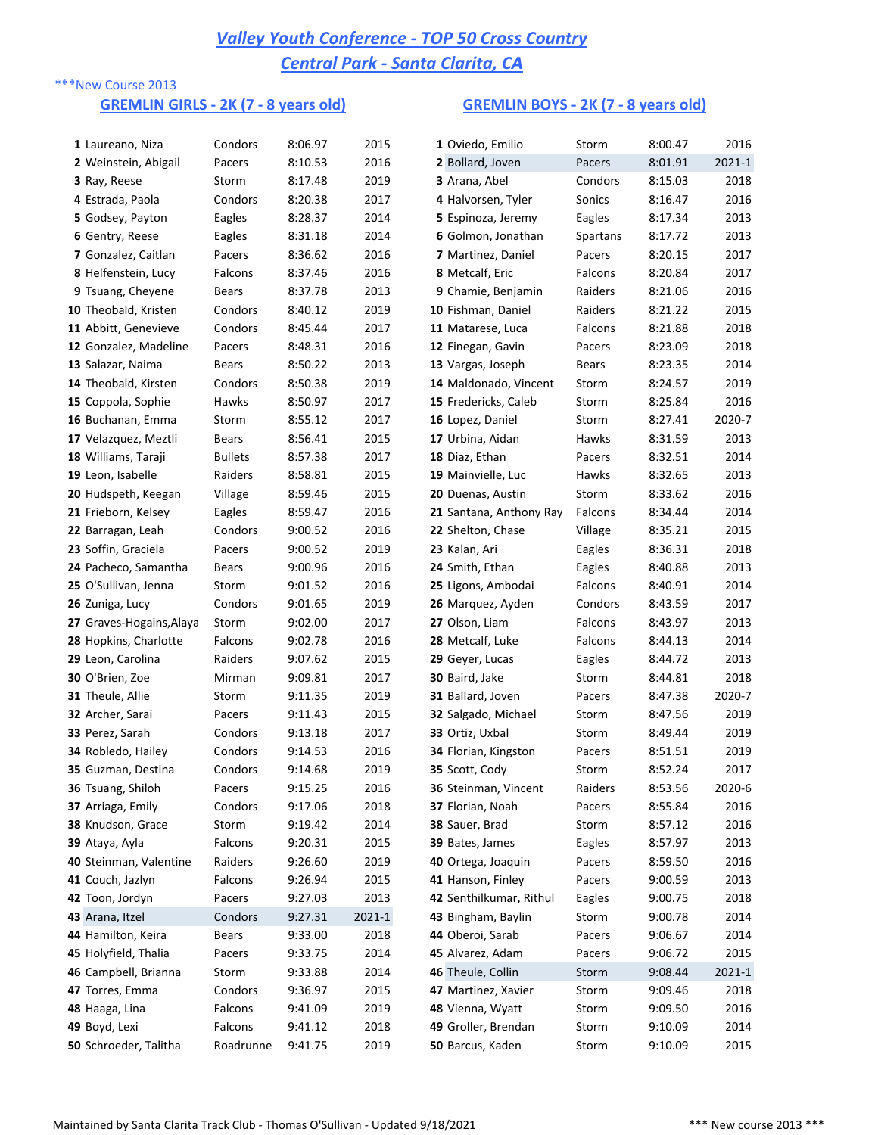### \*\*\*New Course 2013

### **GREMLIN GIRLS - 2K (7 - 8 years old) GREMLIN BOYS - 2K (7 - 8 years old)**

| 1 Laureano, Niza           | Condors        | 8:06.97 | 2015   | 1 Oviedo, Emilio        | Storm        | 8:00.47 | 2016   |
|----------------------------|----------------|---------|--------|-------------------------|--------------|---------|--------|
| 2 Weinstein, Abigail       | Pacers         | 8:10.53 | 2016   | 2 Bollard, Joven        | Pacers       | 8:01.91 | 2021-1 |
| 3 Ray, Reese               | Storm          | 8:17.48 | 2019   | 3 Arana, Abel           | Condors      | 8:15.03 | 2018   |
| 4 Estrada, Paola           | Condors        | 8:20.38 | 2017   | 4 Halvorsen, Tyler      | Sonics       | 8:16.47 | 2016   |
| 5 Godsey, Payton           | Eagles         | 8:28.37 | 2014   | 5 Espinoza, Jeremy      | Eagles       | 8:17.34 | 2013   |
| 6 Gentry, Reese            | Eagles         | 8:31.18 | 2014   | 6 Golmon, Jonathan      | Spartans     | 8:17.72 | 2013   |
| <b>7</b> Gonzalez, Caitlan | Pacers         | 8:36.62 | 2016   | 7 Martinez, Daniel      | Pacers       | 8:20.15 | 2017   |
| 8 Helfenstein, Lucy        | Falcons        | 8:37.46 | 2016   | 8 Metcalf, Eric         | Falcons      | 8:20.84 | 2017   |
| 9 Tsuang, Cheyene          | <b>Bears</b>   | 8:37.78 | 2013   | 9 Chamie, Benjamin      | Raiders      | 8:21.06 | 2016   |
| 10 Theobald, Kristen       | Condors        | 8:40.12 | 2019   | 10 Fishman, Daniel      | Raiders      | 8:21.22 | 2015   |
| 11 Abbitt, Genevieve       | Condors        | 8:45.44 | 2017   | 11 Matarese, Luca       | Falcons      | 8:21.88 | 2018   |
| 12 Gonzalez, Madeline      | Pacers         | 8:48.31 | 2016   | 12 Finegan, Gavin       | Pacers       | 8:23.09 | 2018   |
| 13 Salazar, Naima          | Bears          | 8:50.22 | 2013   | 13 Vargas, Joseph       | <b>Bears</b> | 8:23.35 | 2014   |
| 14 Theobald, Kirsten       | Condors        | 8:50.38 | 2019   | 14 Maldonado, Vincent   | Storm        | 8:24.57 | 2019   |
| 15 Coppola, Sophie         | Hawks          | 8:50.97 | 2017   | 15 Fredericks, Caleb    | Storm        | 8:25.84 | 2016   |
| 16 Buchanan, Emma          | Storm          | 8:55.12 | 2017   | 16 Lopez, Daniel        | Storm        | 8:27.41 | 2020-7 |
| 17 Velazquez, Meztli       | Bears          | 8:56.41 | 2015   | 17 Urbina, Aidan        | Hawks        | 8:31.59 | 2013   |
| 18 Williams, Taraji        | <b>Bullets</b> | 8:57.38 | 2017   | 18 Diaz, Ethan          | Pacers       | 8:32.51 | 2014   |
| 19 Leon, Isabelle          | Raiders        | 8:58.81 | 2015   | 19 Mainvielle, Luc      | Hawks        | 8:32.65 | 2013   |
| 20 Hudspeth, Keegan        | Village        | 8:59.46 | 2015   | 20 Duenas, Austin       | Storm        | 8:33.62 | 2016   |
| 21 Frieborn, Kelsey        | Eagles         | 8:59.47 | 2016   | 21 Santana, Anthony Ray | Falcons      | 8:34.44 | 2014   |
| 22 Barragan, Leah          | Condors        | 9:00.52 | 2016   | 22 Shelton, Chase       | Village      | 8:35.21 | 2015   |
| 23 Soffin, Graciela        | Pacers         | 9:00.52 | 2019   | 23 Kalan, Ari           | Eagles       | 8:36.31 | 2018   |
| 24 Pacheco, Samantha       | <b>Bears</b>   | 9:00.96 | 2016   | 24 Smith, Ethan         | Eagles       | 8:40.88 | 2013   |
| 25 O'Sullivan, Jenna       | Storm          | 9:01.52 | 2016   | 25 Ligons, Ambodai      | Falcons      | 8:40.91 | 2014   |
| 26 Zuniga, Lucy            | Condors        | 9:01.65 | 2019   | 26 Marquez, Ayden       | Condors      | 8:43.59 | 2017   |
| 27 Graves-Hogains, Alaya   | Storm          | 9:02.00 | 2017   | 27 Olson, Liam          | Falcons      | 8:43.97 | 2013   |
| 28 Hopkins, Charlotte      | Falcons        | 9:02.78 | 2016   | 28 Metcalf, Luke        | Falcons      | 8:44.13 | 2014   |
| 29 Leon, Carolina          | Raiders        | 9:07.62 | 2015   | 29 Geyer, Lucas         | Eagles       | 8:44.72 | 2013   |
| 30 O'Brien, Zoe            | Mirman         | 9:09.81 | 2017   | 30 Baird, Jake          | Storm        | 8:44.81 | 2018   |
| <b>31 Theule, Allie</b>    | Storm          | 9:11.35 | 2019   | 31 Ballard, Joven       | Pacers       | 8:47.38 | 2020-7 |
| 32 Archer, Sarai           | Pacers         | 9:11.43 | 2015   | 32 Salgado, Michael     | Storm        | 8:47.56 | 2019   |
| 33 Perez, Sarah            | Condors        | 9:13.18 | 2017   | 33 Ortiz, Uxbal         | Storm        | 8:49.44 | 2019   |
| 34 Robledo, Hailey         | Condors        | 9:14.53 | 2016   | 34 Florian, Kingston    | Pacers       | 8:51.51 | 2019   |
| 35 Guzman, Destina         | Condors        | 9:14.68 | 2019   | 35 Scott, Cody          | Storm        | 8:52.24 | 2017   |
| 36 Tsuang, Shiloh          | Pacers         | 9:15.25 | 2016   | 36 Steinman, Vincent    | Raiders      | 8:53.56 | 2020-6 |
| 37 Arriaga, Emily          | Condors        | 9:17.06 | 2018   | 37 Florian, Noah        | Pacers       | 8:55.84 | 2016   |
| 38 Knudson, Grace          | Storm          | 9:19.42 | 2014   | 38 Sauer, Brad          | Storm        | 8:57.12 | 2016   |
| 39 Ataya, Ayla             | Falcons        | 9:20.31 | 2015   | 39 Bates, James         | Eagles       | 8:57.97 | 2013   |
| 40 Steinman, Valentine     | Raiders        | 9:26.60 | 2019   | 40 Ortega, Joaquin      | Pacers       | 8:59.50 | 2016   |
| 41 Couch, Jazlyn           | Falcons        | 9:26.94 | 2015   | 41 Hanson, Finley       | Pacers       | 9:00.59 | 2013   |
| 42 Toon, Jordyn            | Pacers         | 9:27.03 | 2013   | 42 Senthilkumar, Rithul | Eagles       | 9:00.75 | 2018   |
| 43 Arana, Itzel            | Condors        | 9:27.31 | 2021-1 | 43 Bingham, Baylin      | Storm        | 9:00.78 | 2014   |
| 44 Hamilton, Keira         | Bears          | 9:33.00 | 2018   | 44 Oberoi, Sarab        | Pacers       | 9:06.67 | 2014   |
| 45 Holyfield, Thalia       | Pacers         | 9:33.75 | 2014   | 45 Alvarez, Adam        | Pacers       | 9:06.72 | 2015   |
| 46 Campbell, Brianna       | Storm          | 9:33.88 | 2014   | 46 Theule, Collin       | Storm        | 9:08.44 | 2021-1 |
| 47 Torres, Emma            | Condors        | 9:36.97 | 2015   | 47 Martinez, Xavier     | Storm        | 9:09.46 | 2018   |
| 48 Haaga, Lina             | Falcons        | 9:41.09 | 2019   | 48 Vienna, Wyatt        | Storm        | 9:09.50 | 2016   |
| 49 Boyd, Lexi              | Falcons        | 9:41.12 | 2018   | 49 Groller, Brendan     | Storm        | 9:10.09 | 2014   |
| 50 Schroeder, Talitha      | Roadrunne      | 9:41.75 | 2019   | 50 Barcus, Kaden        | Storm        | 9:10.09 | 2015   |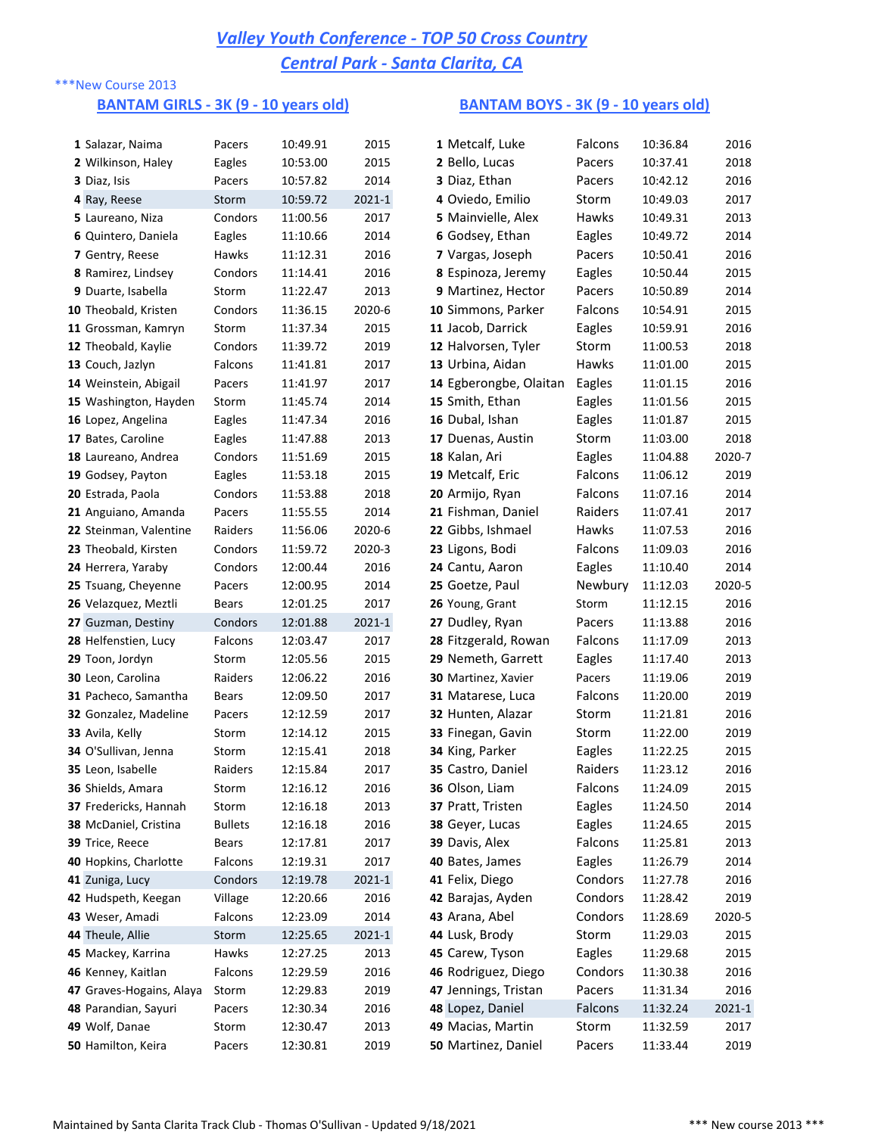### \*\*\*New Course 2013

### **BANTAM GIRLS - 3K (9 - 10 years old) BANTAM BOYS - 3K (9 - 10 years old)**

| 1 Salazar, Naima             | Pacers         | 10:49.91 | 2015       | 1 Metcalf, Luke        | Falcons | 10:36.84 | 2016   |
|------------------------------|----------------|----------|------------|------------------------|---------|----------|--------|
| 2 Wilkinson, Haley           | Eagles         | 10:53.00 | 2015       | 2 Bello, Lucas         | Pacers  | 10:37.41 | 2018   |
| 3 Diaz, Isis                 | Pacers         | 10:57.82 | 2014       | 3 Diaz, Ethan          | Pacers  | 10:42.12 | 2016   |
| 4 Ray, Reese                 | Storm          | 10:59.72 | $2021 - 1$ | 4 Oviedo, Emilio       | Storm   | 10:49.03 | 2017   |
| 5 Laureano, Niza             | Condors        | 11:00.56 | 2017       | 5 Mainvielle, Alex     | Hawks   | 10:49.31 | 2013   |
| 6 Quintero, Daniela          | Eagles         | 11:10.66 | 2014       | 6 Godsey, Ethan        | Eagles  | 10:49.72 | 2014   |
| 7 Gentry, Reese              | Hawks          | 11:12.31 | 2016       | 7 Vargas, Joseph       | Pacers  | 10:50.41 | 2016   |
| 8 Ramirez, Lindsey           | Condors        | 11:14.41 | 2016       | 8 Espinoza, Jeremy     | Eagles  | 10:50.44 | 2015   |
| 9 Duarte, Isabella           | Storm          | 11:22.47 | 2013       | 9 Martinez, Hector     | Pacers  | 10:50.89 | 2014   |
| 10 Theobald, Kristen         | Condors        | 11:36.15 | 2020-6     | 10 Simmons, Parker     | Falcons | 10:54.91 | 2015   |
| 11 Grossman, Kamryn          | Storm          | 11:37.34 | 2015       | 11 Jacob, Darrick      | Eagles  | 10:59.91 | 2016   |
| 12 Theobald, Kaylie          | Condors        | 11:39.72 | 2019       | 12 Halvorsen, Tyler    | Storm   | 11:00.53 | 2018   |
| 13 Couch, Jazlyn             | Falcons        | 11:41.81 | 2017       | 13 Urbina, Aidan       | Hawks   | 11:01.00 | 2015   |
| 14 Weinstein, Abigail        | Pacers         | 11:41.97 | 2017       | 14 Egberongbe, Olaitan | Eagles  | 11:01.15 | 2016   |
| 15 Washington, Hayden        | Storm          | 11:45.74 | 2014       | 15 Smith, Ethan        | Eagles  | 11:01.56 | 2015   |
| 16 Lopez, Angelina           | Eagles         | 11:47.34 | 2016       | 16 Dubal, Ishan        | Eagles  | 11:01.87 | 2015   |
| 17 Bates, Caroline           | Eagles         | 11:47.88 | 2013       | 17 Duenas, Austin      | Storm   | 11:03.00 | 2018   |
| 18 Laureano, Andrea          | Condors        | 11:51.69 | 2015       | 18 Kalan, Ari          | Eagles  | 11:04.88 | 2020-7 |
| 19 Godsey, Payton            | Eagles         | 11:53.18 | 2015       | 19 Metcalf, Eric       | Falcons | 11:06.12 | 2019   |
| 20 Estrada, Paola            | Condors        | 11:53.88 | 2018       | 20 Armijo, Ryan        | Falcons | 11:07.16 | 2014   |
| 21 Anguiano, Amanda          | Pacers         | 11:55.55 | 2014       | 21 Fishman, Daniel     | Raiders | 11:07.41 | 2017   |
| 22 Steinman, Valentine       | Raiders        | 11:56.06 | 2020-6     | 22 Gibbs, Ishmael      | Hawks   | 11:07.53 | 2016   |
| 23 Theobald, Kirsten         | Condors        | 11:59.72 | 2020-3     | 23 Ligons, Bodi        | Falcons | 11:09.03 | 2016   |
| 24 Herrera, Yaraby           | Condors        | 12:00.44 | 2016       | 24 Cantu, Aaron        | Eagles  | 11:10.40 | 2014   |
| 25 Tsuang, Cheyenne          | Pacers         | 12:00.95 | 2014       | 25 Goetze, Paul        | Newbury | 11:12.03 | 2020-5 |
|                              |                |          |            |                        |         |          |        |
| 26 Velazquez, Meztli         | Bears          | 12:01.25 | 2017       | 26 Young, Grant        | Storm   | 11:12.15 | 2016   |
| 27 Guzman, Destiny           | Condors        | 12:01.88 | $2021 - 1$ | 27 Dudley, Ryan        | Pacers  | 11:13.88 | 2016   |
| 28 Helfenstien, Lucy         | Falcons        | 12:03.47 | 2017       | 28 Fitzgerald, Rowan   | Falcons | 11:17.09 | 2013   |
| 29 Toon, Jordyn              | Storm          | 12:05.56 | 2015       | 29 Nemeth, Garrett     | Eagles  | 11:17.40 | 2013   |
| 30 Leon, Carolina            | Raiders        | 12:06.22 | 2016       | 30 Martinez, Xavier    | Pacers  | 11:19.06 | 2019   |
| 31 Pacheco, Samantha         | Bears          | 12:09.50 | 2017       | 31 Matarese, Luca      | Falcons | 11:20.00 | 2019   |
| 32 Gonzalez, Madeline        | Pacers         | 12:12.59 | 2017       | 32 Hunten, Alazar      | Storm   | 11:21.81 | 2016   |
| 33 Avila, Kelly              | Storm          | 12:14.12 | 2015       | 33 Finegan, Gavin      | Storm   | 11:22.00 | 2019   |
| 34 O'Sullivan, Jenna         | Storm          | 12:15.41 | 2018       | 34 King, Parker        | Eagles  | 11:22.25 | 2015   |
| 35 Leon, Isabelle            | Raiders        | 12:15.84 | 2017       | 35 Castro, Daniel      | Raiders | 11:23.12 | 2016   |
| 36 Shields, Amara            | Storm          | 12:16.12 | 2016       | 36 Olson, Liam         | Falcons | 11:24.09 | 2015   |
| 37 Fredericks, Hannah        | Storm          | 12:16.18 | 2013       | 37 Pratt, Tristen      | Eagles  | 11:24.50 | 2014   |
| <b>38</b> McDaniel, Cristina | <b>Bullets</b> | 12:16.18 | 2016       | 38 Geyer, Lucas        | Eagles  | 11:24.65 | 2015   |
| 39 Trice, Reece              | Bears          | 12:17.81 | 2017       | 39 Davis, Alex         | Falcons | 11:25.81 | 2013   |
| 40 Hopkins, Charlotte        | Falcons        | 12:19.31 | 2017       | 40 Bates, James        | Eagles  | 11:26.79 | 2014   |
| 41 Zuniga, Lucy              | Condors        | 12:19.78 | $2021-1$   | 41 Felix, Diego        | Condors | 11:27.78 | 2016   |
| 42 Hudspeth, Keegan          | Village        | 12:20.66 | 2016       | 42 Barajas, Ayden      | Condors | 11:28.42 | 2019   |
| 43 Weser, Amadi              | Falcons        | 12:23.09 | 2014       | 43 Arana, Abel         | Condors | 11:28.69 | 2020-5 |
| 44 Theule, Allie             | Storm          | 12:25.65 | $2021-1$   | 44 Lusk, Brody         | Storm   | 11:29.03 | 2015   |
| 45 Mackey, Karrina           | Hawks          | 12:27.25 | 2013       | 45 Carew, Tyson        | Eagles  | 11:29.68 | 2015   |
| 46 Kenney, Kaitlan           | Falcons        | 12:29.59 | 2016       | 46 Rodriguez, Diego    | Condors | 11:30.38 | 2016   |
| 47 Graves-Hogains, Alaya     | Storm          | 12:29.83 | 2019       | 47 Jennings, Tristan   | Pacers  | 11:31.34 | 2016   |
| 48 Parandian, Sayuri         | Pacers         | 12:30.34 | 2016       | 48 Lopez, Daniel       | Falcons | 11:32.24 | 2021-1 |
| 49 Wolf, Danae               | Storm          | 12:30.47 | 2013       | 49 Macias, Martin      | Storm   | 11:32.59 | 2017   |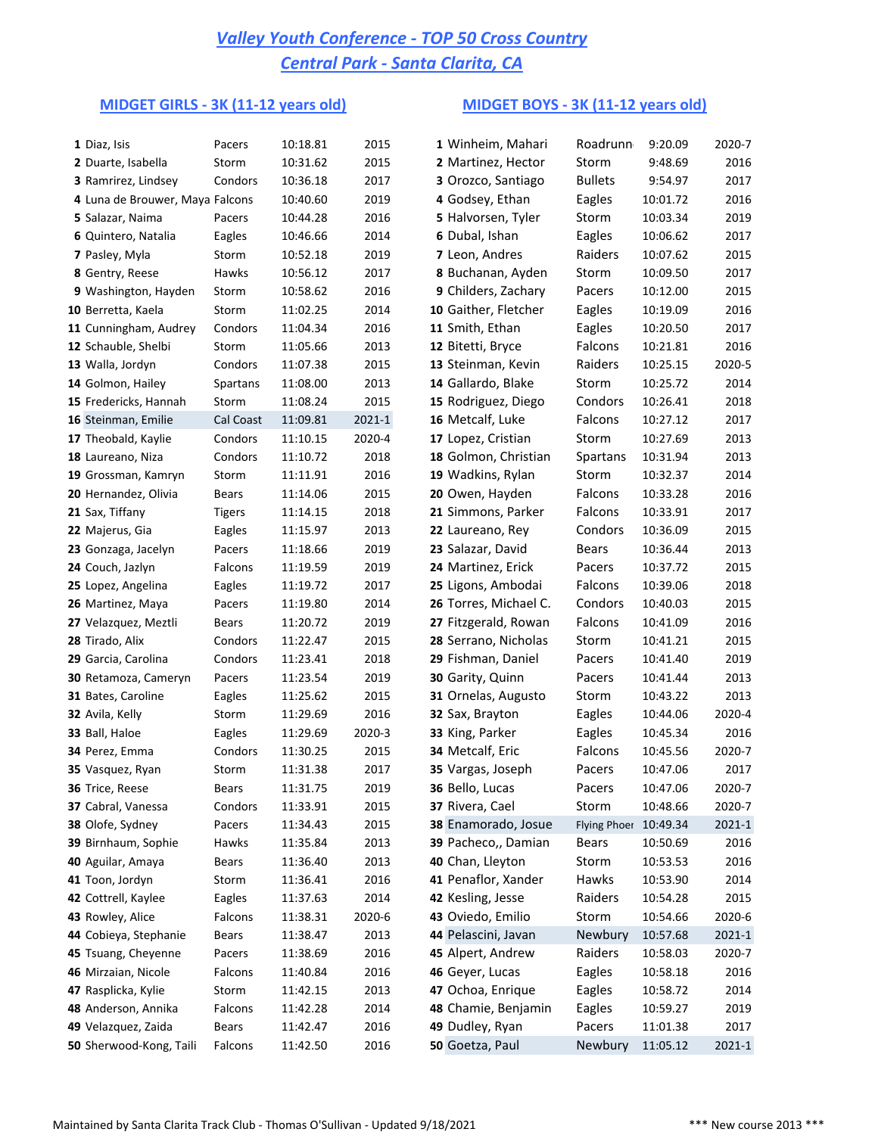# **MIDGET GIRLS - 3K (11-12 years old) MIDGET BOYS - 3K (11-12 years old)**

| 1 Diaz, Isis                    | Pacers        | 10:18.81 | 2015       | 1 Winheim, Mahari     | Roadrunn              | 9:20.09  | 2020-7 |
|---------------------------------|---------------|----------|------------|-----------------------|-----------------------|----------|--------|
| 2 Duarte, Isabella              | Storm         | 10:31.62 | 2015       | 2 Martinez, Hector    | Storm                 | 9:48.69  | 2016   |
| 3 Ramrirez, Lindsey             | Condors       | 10:36.18 | 2017       | 3 Orozco, Santiago    | <b>Bullets</b>        | 9:54.97  | 2017   |
| 4 Luna de Brouwer, Maya Falcons |               | 10:40.60 | 2019       | 4 Godsey, Ethan       | Eagles                | 10:01.72 | 2016   |
| 5 Salazar, Naima                | Pacers        | 10:44.28 | 2016       | 5 Halvorsen, Tyler    | Storm                 | 10:03.34 | 2019   |
| 6 Quintero, Natalia             | Eagles        | 10:46.66 | 2014       | 6 Dubal, Ishan        | Eagles                | 10:06.62 | 2017   |
| 7 Pasley, Myla                  | Storm         | 10:52.18 | 2019       | 7 Leon, Andres        | Raiders               | 10:07.62 | 2015   |
| 8 Gentry, Reese                 | Hawks         | 10:56.12 | 2017       | 8 Buchanan, Ayden     | Storm                 | 10:09.50 | 2017   |
| 9 Washington, Hayden            | Storm         | 10:58.62 | 2016       | 9 Childers, Zachary   | Pacers                | 10:12.00 | 2015   |
| 10 Berretta, Kaela              | Storm         | 11:02.25 | 2014       | 10 Gaither, Fletcher  | Eagles                | 10:19.09 | 2016   |
| 11 Cunningham, Audrey           | Condors       | 11:04.34 | 2016       | 11 Smith, Ethan       | Eagles                | 10:20.50 | 2017   |
| 12 Schauble, Shelbi             | Storm         | 11:05.66 | 2013       | 12 Bitetti, Bryce     | Falcons               | 10:21.81 | 2016   |
| 13 Walla, Jordyn                | Condors       | 11:07.38 | 2015       | 13 Steinman, Kevin    | Raiders               | 10:25.15 | 2020-5 |
| 14 Golmon, Hailey               | Spartans      | 11:08.00 | 2013       | 14 Gallardo, Blake    | Storm                 | 10:25.72 | 2014   |
| 15 Fredericks, Hannah           | Storm         | 11:08.24 | 2015       | 15 Rodriguez, Diego   | Condors               | 10:26.41 | 2018   |
| 16 Steinman, Emilie             | Cal Coast     | 11:09.81 | $2021 - 1$ | 16 Metcalf, Luke      | Falcons               | 10:27.12 | 2017   |
| 17 Theobald, Kaylie             | Condors       | 11:10.15 | 2020-4     | 17 Lopez, Cristian    | Storm                 | 10:27.69 | 2013   |
| 18 Laureano, Niza               | Condors       | 11:10.72 | 2018       | 18 Golmon, Christian  | Spartans              | 10:31.94 | 2013   |
| 19 Grossman, Kamryn             | Storm         | 11:11.91 | 2016       | 19 Wadkins, Rylan     | Storm                 | 10:32.37 | 2014   |
| 20 Hernandez, Olivia            | Bears         | 11:14.06 | 2015       | 20 Owen, Hayden       | Falcons               | 10:33.28 | 2016   |
| 21 Sax, Tiffany                 | <b>Tigers</b> | 11:14.15 | 2018       | 21 Simmons, Parker    | Falcons               | 10:33.91 | 2017   |
| 22 Majerus, Gia                 | Eagles        | 11:15.97 | 2013       | 22 Laureano, Rey      | Condors               | 10:36.09 | 2015   |
| 23 Gonzaga, Jacelyn             | Pacers        | 11:18.66 | 2019       | 23 Salazar, David     | <b>Bears</b>          | 10:36.44 | 2013   |
| 24 Couch, Jazlyn                | Falcons       | 11:19.59 | 2019       | 24 Martinez, Erick    | Pacers                | 10:37.72 | 2015   |
| 25 Lopez, Angelina              | Eagles        | 11:19.72 | 2017       | 25 Ligons, Ambodai    | Falcons               | 10:39.06 | 2018   |
| 26 Martinez, Maya               | Pacers        | 11:19.80 | 2014       | 26 Torres, Michael C. | Condors               | 10:40.03 | 2015   |
| 27 Velazquez, Meztli            | Bears         | 11:20.72 | 2019       | 27 Fitzgerald, Rowan  | Falcons               | 10:41.09 | 2016   |
| 28 Tirado, Alix                 | Condors       | 11:22.47 | 2015       | 28 Serrano, Nicholas  | Storm                 | 10:41.21 | 2015   |
| 29 Garcia, Carolina             | Condors       | 11:23.41 | 2018       | 29 Fishman, Daniel    | Pacers                | 10:41.40 | 2019   |
| 30 Retamoza, Cameryn            | Pacers        | 11:23.54 | 2019       | 30 Garity, Quinn      | Pacers                | 10:41.44 | 2013   |
| 31 Bates, Caroline              | Eagles        | 11:25.62 | 2015       | 31 Ornelas, Augusto   | Storm                 | 10:43.22 | 2013   |
| 32 Avila, Kelly                 | Storm         | 11:29.69 | 2016       | 32 Sax, Brayton       | Eagles                | 10:44.06 | 2020-4 |
| 33 Ball, Haloe                  | Eagles        | 11:29.69 | 2020-3     | 33 King, Parker       | Eagles                | 10:45.34 | 2016   |
| 34 Perez, Emma                  | Condors       | 11:30.25 | 2015       | 34 Metcalf, Eric      | Falcons               | 10:45.56 | 2020-7 |
| 35 Vasquez, Ryan                | Storm         | 11:31.38 | 2017       | 35 Vargas, Joseph     | Pacers                | 10:47.06 | 2017   |
| 36 Trice, Reese                 | Bears         | 11:31.75 | 2019       | 36 Bello, Lucas       | Pacers                | 10:47.06 | 2020-7 |
| 37 Cabral, Vanessa              | Condors       | 11:33.91 | 2015       | 37 Rivera, Cael       | Storm                 | 10:48.66 | 2020-7 |
| 38 Olofe, Sydney                | Pacers        | 11:34.43 | 2015       | 38 Enamorado, Josue   | Flying Phoer 10:49.34 |          | 2021-1 |
| 39 Birnhaum, Sophie             | Hawks         | 11:35.84 | 2013       | 39 Pacheco,, Damian   | Bears                 | 10:50.69 | 2016   |
| 40 Aguilar, Amaya               | Bears         | 11:36.40 | 2013       | 40 Chan, Lleyton      | Storm                 | 10:53.53 | 2016   |
| 41 Toon, Jordyn                 | Storm         | 11:36.41 | 2016       | 41 Penaflor, Xander   | Hawks                 | 10:53.90 | 2014   |
| 42 Cottrell, Kaylee             | Eagles        | 11:37.63 | 2014       | 42 Kesling, Jesse     | Raiders               | 10:54.28 | 2015   |
| 43 Rowley, Alice                | Falcons       | 11:38.31 | 2020-6     | 43 Oviedo, Emilio     | Storm                 | 10:54.66 | 2020-6 |
| 44 Cobieya, Stephanie           | Bears         | 11:38.47 | 2013       | 44 Pelascini, Javan   | Newbury               | 10:57.68 | 2021-1 |
| 45 Tsuang, Cheyenne             | Pacers        | 11:38.69 | 2016       | 45 Alpert, Andrew     | Raiders               | 10:58.03 | 2020-7 |
| 46 Mirzaian, Nicole             | Falcons       | 11:40.84 | 2016       | 46 Geyer, Lucas       | Eagles                | 10:58.18 | 2016   |
| 47 Rasplicka, Kylie             | Storm         | 11:42.15 | 2013       | 47 Ochoa, Enrique     | Eagles                | 10:58.72 | 2014   |
| 48 Anderson, Annika             | Falcons       | 11:42.28 | 2014       | 48 Chamie, Benjamin   | Eagles                | 10:59.27 | 2019   |
| 49 Velazquez, Zaida             | Bears         | 11:42.47 | 2016       | 49 Dudley, Ryan       | Pacers                | 11:01.38 | 2017   |
| 50 Sherwood-Kong, Taili         | Falcons       | 11:42.50 | 2016       | 50 Goetza, Paul       | Newbury               | 11:05.12 | 2021-1 |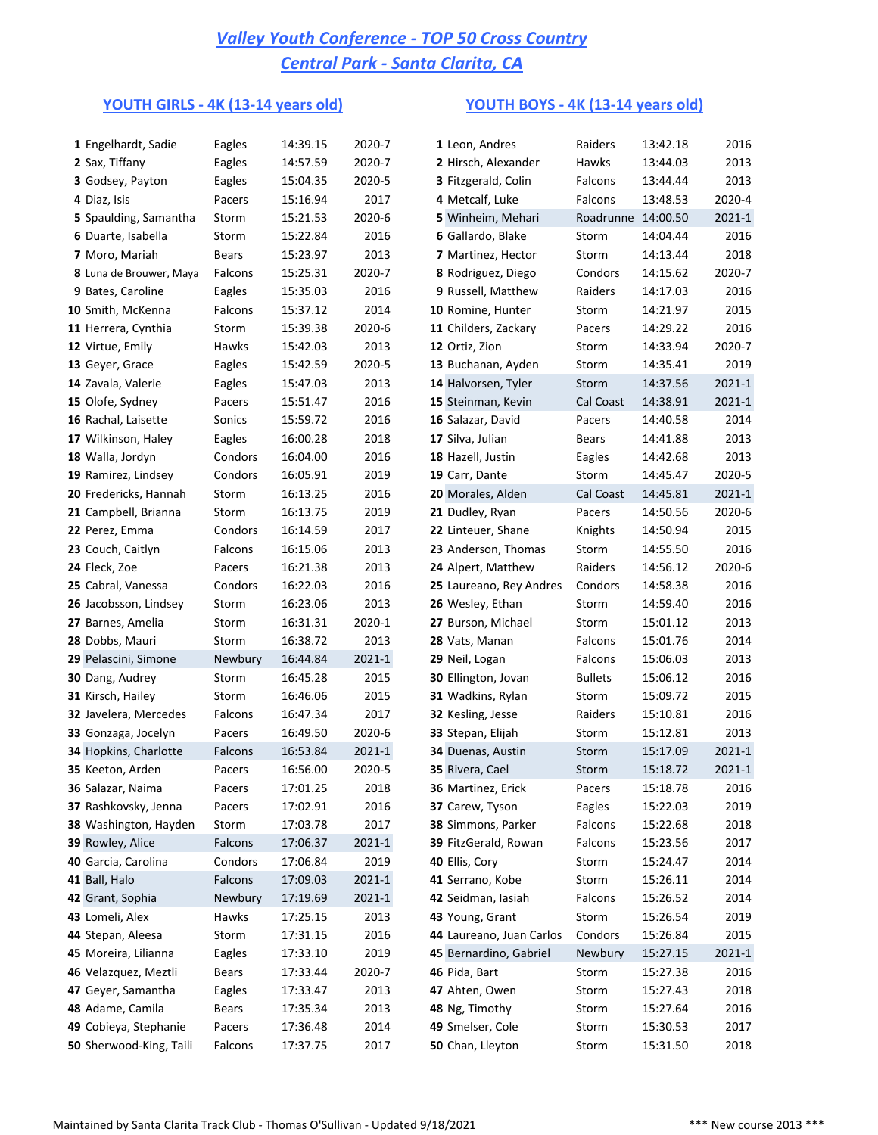### **YOUTH GIRLS - 4K (13-14 years old) YOUTH BOYS - 4K (13-14 years old)**

| 1 Engelhardt, Sadie      | Eagles  | 14:39.15 | 2020-7     | 1 Leon, Andres           | Raiders            | 13:42.18 | 2016       |
|--------------------------|---------|----------|------------|--------------------------|--------------------|----------|------------|
| 2 Sax, Tiffany           | Eagles  | 14:57.59 | 2020-7     | 2 Hirsch, Alexander      | Hawks              | 13:44.03 | 2013       |
| 3 Godsey, Payton         | Eagles  | 15:04.35 | 2020-5     | 3 Fitzgerald, Colin      | Falcons            | 13:44.44 | 2013       |
| 4 Diaz, Isis             | Pacers  | 15:16.94 | 2017       | 4 Metcalf, Luke          | Falcons            | 13:48.53 | 2020-4     |
| 5 Spaulding, Samantha    | Storm   | 15:21.53 | 2020-6     | 5 Winheim, Mehari        | Roadrunne 14:00.50 |          | 2021-1     |
| 6 Duarte, Isabella       | Storm   | 15:22.84 | 2016       | 6 Gallardo, Blake        | Storm              | 14:04.44 | 2016       |
| 7 Moro, Mariah           | Bears   | 15:23.97 | 2013       | 7 Martinez, Hector       | Storm              | 14:13.44 | 2018       |
| 8 Luna de Brouwer, Maya  | Falcons | 15:25.31 | 2020-7     | 8 Rodriguez, Diego       | Condors            | 14:15.62 | 2020-7     |
| 9 Bates, Caroline        | Eagles  | 15:35.03 | 2016       | 9 Russell, Matthew       | Raiders            | 14:17.03 | 2016       |
| <b>10</b> Smith, McKenna | Falcons | 15:37.12 | 2014       | 10 Romine, Hunter        | Storm              | 14:21.97 | 2015       |
| 11 Herrera, Cynthia      | Storm   | 15:39.38 | 2020-6     | 11 Childers, Zackary     | Pacers             | 14:29.22 | 2016       |
| 12 Virtue, Emily         | Hawks   | 15:42.03 | 2013       | 12 Ortiz, Zion           | Storm              | 14:33.94 | 2020-7     |
| 13 Geyer, Grace          | Eagles  | 15:42.59 | 2020-5     | 13 Buchanan, Ayden       | Storm              | 14:35.41 | 2019       |
| 14 Zavala, Valerie       | Eagles  | 15:47.03 | 2013       | 14 Halvorsen, Tyler      | Storm              | 14:37.56 | 2021-1     |
| 15 Olofe, Sydney         | Pacers  | 15:51.47 | 2016       | 15 Steinman, Kevin       | Cal Coast          | 14:38.91 | 2021-1     |
| 16 Rachal, Laisette      | Sonics  | 15:59.72 | 2016       | 16 Salazar, David        | Pacers             | 14:40.58 | 2014       |
| 17 Wilkinson, Haley      | Eagles  | 16:00.28 | 2018       | 17 Silva, Julian         | Bears              | 14:41.88 | 2013       |
| 18 Walla, Jordyn         | Condors | 16:04.00 | 2016       | 18 Hazell, Justin        | Eagles             | 14:42.68 | 2013       |
| 19 Ramirez, Lindsey      | Condors | 16:05.91 | 2019       | 19 Carr, Dante           | Storm              | 14:45.47 | 2020-5     |
| 20 Fredericks, Hannah    | Storm   | 16:13.25 | 2016       | 20 Morales, Alden        | Cal Coast          | 14:45.81 | 2021-1     |
| 21 Campbell, Brianna     | Storm   | 16:13.75 | 2019       | 21 Dudley, Ryan          | Pacers             | 14:50.56 | 2020-6     |
| 22 Perez, Emma           | Condors | 16:14.59 | 2017       | 22 Linteuer, Shane       | Knights            | 14:50.94 | 2015       |
| 23 Couch, Caitlyn        | Falcons | 16:15.06 | 2013       | 23 Anderson, Thomas      | Storm              | 14:55.50 | 2016       |
| 24 Fleck, Zoe            | Pacers  | 16:21.38 | 2013       | 24 Alpert, Matthew       | Raiders            | 14:56.12 | 2020-6     |
| 25 Cabral, Vanessa       | Condors | 16:22.03 | 2016       | 25 Laureano, Rey Andres  | Condors            | 14:58.38 | 2016       |
| 26 Jacobsson, Lindsey    | Storm   | 16:23.06 | 2013       | 26 Wesley, Ethan         | Storm              | 14:59.40 | 2016       |
| 27 Barnes, Amelia        | Storm   | 16:31.31 | 2020-1     | 27 Burson, Michael       | Storm              | 15:01.12 | 2013       |
| 28 Dobbs, Mauri          | Storm   | 16:38.72 | 2013       | 28 Vats, Manan           | Falcons            | 15:01.76 | 2014       |
| 29 Pelascini, Simone     | Newbury | 16:44.84 | 2021-1     | 29 Neil, Logan           | Falcons            | 15:06.03 | 2013       |
| 30 Dang, Audrey          | Storm   | 16:45.28 | 2015       | 30 Ellington, Jovan      | <b>Bullets</b>     | 15:06.12 | 2016       |
| 31 Kirsch, Hailey        | Storm   | 16:46.06 | 2015       | 31 Wadkins, Rylan        | Storm              | 15:09.72 | 2015       |
| 32 Javelera, Mercedes    | Falcons | 16:47.34 | 2017       | 32 Kesling, Jesse        | Raiders            | 15:10.81 | 2016       |
| 33 Gonzaga, Jocelyn      | Pacers  | 16:49.50 | 2020-6     | 33 Stepan, Elijah        | Storm              | 15:12.81 | 2013       |
| 34 Hopkins, Charlotte    | Falcons | 16:53.84 | 2021-1     | 34 Duenas, Austin        | Storm              | 15:17.09 | $2021 - 1$ |
| 35 Keeton, Arden         | Pacers  | 16:56.00 | 2020-5     | 35 Rivera, Cael          | Storm              | 15:18.72 | 2021-1     |
| 36 Salazar, Naima        | Pacers  | 17:01.25 | 2018       | 36 Martinez, Erick       | Pacers             | 15:18.78 | 2016       |
| 37 Rashkovsky, Jenna     | Pacers  | 17:02.91 | 2016       | 37 Carew, Tyson          | Eagles             | 15:22.03 | 2019       |
| 38 Washington, Hayden    | Storm   | 17:03.78 | 2017       | 38 Simmons, Parker       | Falcons            | 15:22.68 | 2018       |
| 39 Rowley, Alice         | Falcons | 17:06.37 | 2021-1     | 39 FitzGerald, Rowan     | Falcons            | 15:23.56 | 2017       |
| 40 Garcia, Carolina      | Condors | 17:06.84 | 2019       | 40 Ellis, Cory           | Storm              | 15:24.47 | 2014       |
| 41 Ball, Halo            | Falcons | 17:09.03 | $2021-1$   | 41 Serrano, Kobe         | Storm              | 15:26.11 | 2014       |
| 42 Grant, Sophia         | Newbury | 17:19.69 | $2021 - 1$ | 42 Seidman, Iasiah       | Falcons            | 15:26.52 | 2014       |
| 43 Lomeli, Alex          | Hawks   | 17:25.15 | 2013       | 43 Young, Grant          | Storm              | 15:26.54 | 2019       |
| 44 Stepan, Aleesa        | Storm   | 17:31.15 | 2016       | 44 Laureano, Juan Carlos | Condors            | 15:26.84 | 2015       |
| 45 Moreira, Lilianna     | Eagles  | 17:33.10 | 2019       | 45 Bernardino, Gabriel   | Newbury            | 15:27.15 | 2021-1     |
| 46 Velazquez, Meztli     | Bears   | 17:33.44 | 2020-7     | 46 Pida, Bart            | Storm              | 15:27.38 | 2016       |
| 47 Geyer, Samantha       | Eagles  | 17:33.47 | 2013       | 47 Ahten, Owen           | Storm              | 15:27.43 | 2018       |
| 48 Adame, Camila         | Bears   | 17:35.34 | 2013       | 48 Ng, Timothy           | Storm              | 15:27.64 | 2016       |
| 49 Cobieya, Stephanie    | Pacers  | 17:36.48 | 2014       | 49 Smelser, Cole         | Storm              | 15:30.53 | 2017       |
| 50 Sherwood-King, Taili  | Falcons | 17:37.75 | 2017       | 50 Chan, Lleyton         | Storm              | 15:31.50 | 2018       |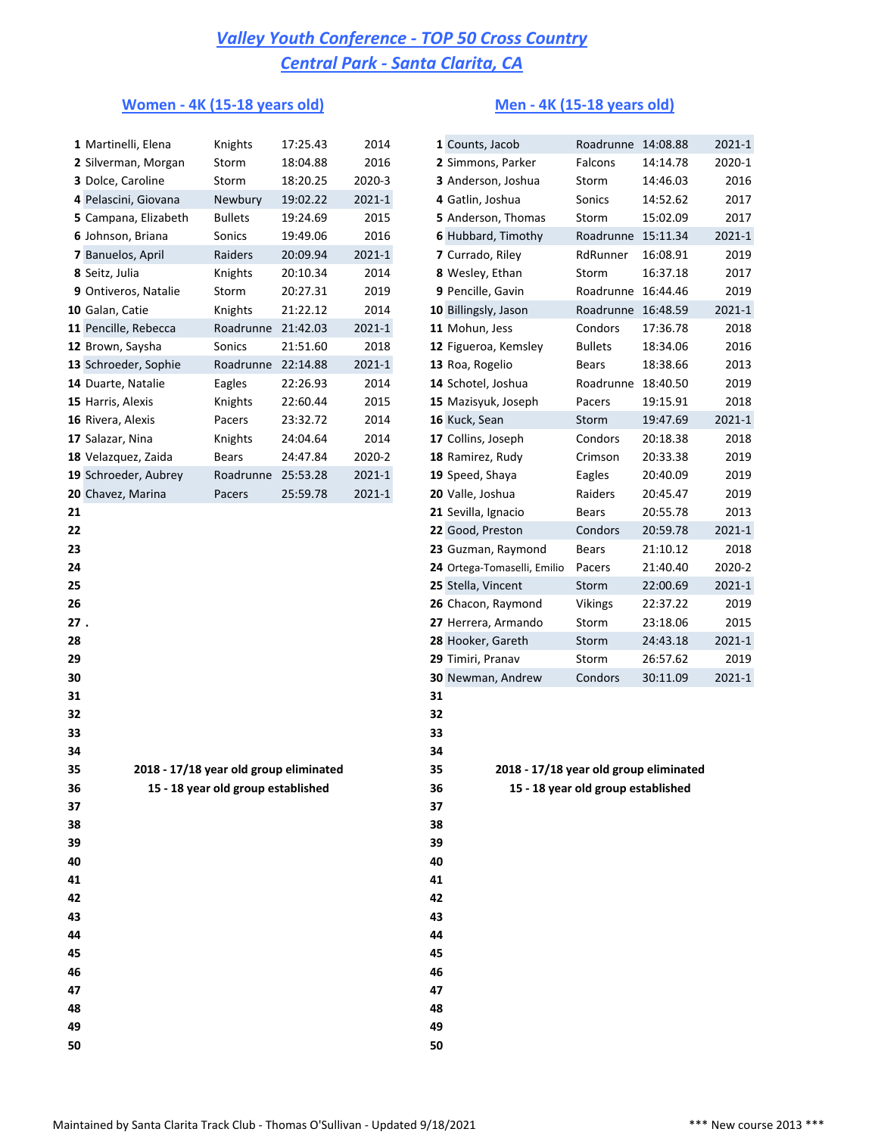### **Women - 4K (15-18 years old) Men - 4K (15-18 years old)**

|     | 1 Martinelli, Elena                    | Knights                            | 17:25.43 | 2014       |    | 1 Counts, Jacob                        | Roadrunne 14:08.88                 |          | 2021-1     |
|-----|----------------------------------------|------------------------------------|----------|------------|----|----------------------------------------|------------------------------------|----------|------------|
|     | 2 Silverman, Morgan                    | Storm                              | 18:04.88 | 2016       |    | 2 Simmons, Parker                      | Falcons                            | 14:14.78 | 2020-1     |
|     | 3 Dolce, Caroline                      | Storm                              | 18:20.25 | 2020-3     |    | 3 Anderson, Joshua                     | Storm                              | 14:46.03 | 2016       |
|     | 4 Pelascini, Giovana                   | Newbury                            | 19:02.22 | 2021-1     |    | 4 Gatlin, Joshua                       | Sonics                             | 14:52.62 | 2017       |
|     | 5 Campana, Elizabeth                   | <b>Bullets</b>                     | 19:24.69 | 2015       |    | 5 Anderson, Thomas                     | Storm                              | 15:02.09 | 2017       |
|     | 6 Johnson, Briana                      | Sonics                             | 19:49.06 | 2016       |    | 6 Hubbard, Timothy                     | Roadrunne 15:11.34                 |          | 2021-1     |
|     | 7 Banuelos, April                      | Raiders                            | 20:09.94 | $2021 - 1$ |    | 7 Currado, Riley                       | RdRunner                           | 16:08.91 | 2019       |
|     | 8 Seitz, Julia                         | Knights                            | 20:10.34 | 2014       |    | 8 Wesley, Ethan                        | Storm                              | 16:37.18 | 2017       |
|     | 9 Ontiveros, Natalie                   | Storm                              | 20:27.31 | 2019       |    | 9 Pencille, Gavin                      | Roadrunne 16:44.46                 |          | 2019       |
|     | 10 Galan, Catie                        | Knights                            | 21:22.12 | 2014       |    | 10 Billingsly, Jason                   | Roadrunne 16:48.59                 |          | 2021-1     |
|     | 11 Pencille, Rebecca                   | Roadrunne                          | 21:42.03 | $2021 - 1$ |    | 11 Mohun, Jess                         | Condors                            | 17:36.78 | 2018       |
|     | 12 Brown, Saysha                       | Sonics                             | 21:51.60 | 2018       |    | 12 Figueroa, Kemsley                   | <b>Bullets</b>                     | 18:34.06 | 2016       |
|     | 13 Schroeder, Sophie                   | Roadrunne 22:14.88                 |          | $2021 - 1$ |    | 13 Roa, Rogelio                        | Bears                              | 18:38.66 | 2013       |
|     | 14 Duarte, Natalie                     | Eagles                             | 22:26.93 | 2014       |    | 14 Schotel, Joshua                     | Roadrunne                          | 18:40.50 | 2019       |
|     | 15 Harris, Alexis                      | Knights                            | 22:60.44 | 2015       |    | 15 Mazisyuk, Joseph                    | Pacers                             | 19:15.91 | 2018       |
|     | 16 Rivera, Alexis                      | Pacers                             | 23:32.72 | 2014       |    | 16 Kuck, Sean                          | Storm                              | 19:47.69 | 2021-1     |
|     | 17 Salazar, Nina                       | Knights                            | 24:04.64 | 2014       |    | 17 Collins, Joseph                     | Condors                            | 20:18.38 | 2018       |
|     | 18 Velazquez, Zaida                    | <b>Bears</b>                       | 24:47.84 | 2020-2     |    | 18 Ramirez, Rudy                       | Crimson                            | 20:33.38 | 2019       |
|     | 19 Schroeder, Aubrey                   | Roadrunne 25:53.28                 |          | $2021 - 1$ |    | 19 Speed, Shaya                        | Eagles                             | 20:40.09 | 2019       |
|     | 20 Chavez, Marina                      | Pacers                             | 25:59.78 | $2021 - 1$ |    | 20 Valle, Joshua                       | Raiders                            | 20:45.47 | 2019       |
| 21  |                                        |                                    |          |            |    | 21 Sevilla, Ignacio                    | <b>Bears</b>                       | 20:55.78 | 2013       |
| 22  |                                        |                                    |          |            |    | 22 Good, Preston                       | Condors                            | 20:59.78 | $2021 - 1$ |
| 23  |                                        |                                    |          |            |    | 23 Guzman, Raymond                     | <b>Bears</b>                       | 21:10.12 | 2018       |
| 24  |                                        |                                    |          |            |    | 24 Ortega-Tomaselli, Emilio            | Pacers                             | 21:40.40 | 2020-2     |
| 25  |                                        |                                    |          |            |    | 25 Stella, Vincent                     | Storm                              | 22:00.69 | 2021-1     |
| 26  |                                        |                                    |          |            |    | 26 Chacon, Raymond                     | Vikings                            | 22:37.22 | 2019       |
| 27. |                                        |                                    |          |            |    | 27 Herrera, Armando                    | Storm                              | 23:18.06 | 2015       |
| 28  |                                        |                                    |          |            |    | 28 Hooker, Gareth                      | Storm                              | 24:43.18 | 2021-1     |
| 29  |                                        |                                    |          |            |    | 29 Timiri, Pranav                      | Storm                              | 26:57.62 | 2019       |
| 30  |                                        |                                    |          |            |    | 30 Newman, Andrew                      | Condors                            | 30:11.09 | 2021-1     |
| 31  |                                        |                                    |          |            | 31 |                                        |                                    |          |            |
| 32  |                                        |                                    |          |            | 32 |                                        |                                    |          |            |
| 33  |                                        |                                    |          |            | 33 |                                        |                                    |          |            |
| 34  |                                        |                                    |          |            | 34 |                                        |                                    |          |            |
| 35  | 2018 - 17/18 year old group eliminated |                                    |          |            | 35 | 2018 - 17/18 year old group eliminated |                                    |          |            |
| 36  |                                        | 15 - 18 year old group established |          |            | 36 |                                        | 15 - 18 year old group established |          |            |
| 37  |                                        |                                    |          |            | 37 |                                        |                                    |          |            |
| 38  |                                        |                                    |          |            | 38 |                                        |                                    |          |            |
| 39  |                                        |                                    |          |            | 39 |                                        |                                    |          |            |
| 40  |                                        |                                    |          |            | 40 |                                        |                                    |          |            |
| 41  |                                        |                                    |          |            | 41 |                                        |                                    |          |            |
| 42  |                                        |                                    |          |            | 42 |                                        |                                    |          |            |
| 43  |                                        |                                    |          |            | 43 |                                        |                                    |          |            |
| 44  |                                        |                                    |          |            | 44 |                                        |                                    |          |            |
| 45  |                                        |                                    |          |            | 45 |                                        |                                    |          |            |
| 46  |                                        |                                    |          |            | 46 |                                        |                                    |          |            |
| 47  |                                        |                                    |          |            | 47 |                                        |                                    |          |            |
| 48  |                                        |                                    |          |            | 48 |                                        |                                    |          |            |
| 49  |                                        |                                    |          |            | 49 |                                        |                                    |          |            |
| 50  |                                        |                                    |          |            | 50 |                                        |                                    |          |            |

|    | 1 Counts, Jacob             | Roadrunne      | 14:08.88 | 2021-1 |
|----|-----------------------------|----------------|----------|--------|
|    | 2 Simmons, Parker           | Falcons        | 14:14.78 | 2020-1 |
|    | 3 Anderson, Joshua          | Storm          | 14:46.03 | 2016   |
|    | 4 Gatlin, Joshua            | Sonics         | 14:52.62 | 2017   |
|    | 5 Anderson, Thomas          | Storm          | 15:02.09 | 2017   |
|    | 6 Hubbard, Timothy          | Roadrunne      | 15:11.34 | 2021-1 |
|    | 7 Currado, Riley            | RdRunner       | 16:08.91 | 2019   |
|    | 8 Wesley, Ethan             | Storm          | 16:37.18 | 2017   |
|    | 9 Pencille, Gavin           | Roadrunne      | 16:44.46 | 2019   |
|    | 10 Billingsly, Jason        | Roadrunne      | 16:48.59 | 2021-1 |
|    | 11 Mohun, Jess              | Condors        | 17:36.78 | 2018   |
|    | 12 Figueroa, Kemsley        | <b>Bullets</b> | 18:34.06 | 2016   |
|    | 13 Roa, Rogelio             | <b>Bears</b>   | 18:38.66 | 2013   |
|    | 14 Schotel, Joshua          | Roadrunne      | 18:40.50 | 2019   |
|    | 15 Mazisyuk, Joseph         | Pacers         | 19:15.91 | 2018   |
|    | 16 Kuck, Sean               | Storm          | 19:47.69 | 2021-1 |
|    | 17 Collins, Joseph          | Condors        | 20:18.38 | 2018   |
|    | 18 Ramirez, Rudy            | Crimson        | 20:33.38 | 2019   |
|    | 19 Speed, Shaya             | Eagles         | 20:40.09 | 2019   |
|    | 20 Valle, Joshua            | Raiders        | 20:45.47 | 2019   |
|    | 21 Sevilla, Ignacio         | <b>Bears</b>   | 20:55.78 | 2013   |
|    | 22 Good, Preston            | Condors        | 20:59.78 | 2021-1 |
|    | 23 Guzman, Raymond          | Bears          | 21:10.12 | 2018   |
|    | 24 Ortega-Tomaselli, Emilio | Pacers         | 21:40.40 | 2020-2 |
|    | 25 Stella, Vincent          | Storm          | 22:00.69 | 2021-1 |
|    | 26 Chacon, Raymond          | <b>Vikings</b> | 22:37.22 | 2019   |
|    | 27 Herrera, Armando         | Storm          | 23:18.06 | 2015   |
|    | 28 Hooker, Gareth           | Storm          | 24:43.18 | 2021-1 |
|    | 29 Timiri, Pranav           | Storm          | 26:57.62 | 2019   |
|    | 30 Newman, Andrew           | Condors        | 30:11.09 | 2021-1 |
| 31 |                             |                |          |        |
| 32 |                             |                |          |        |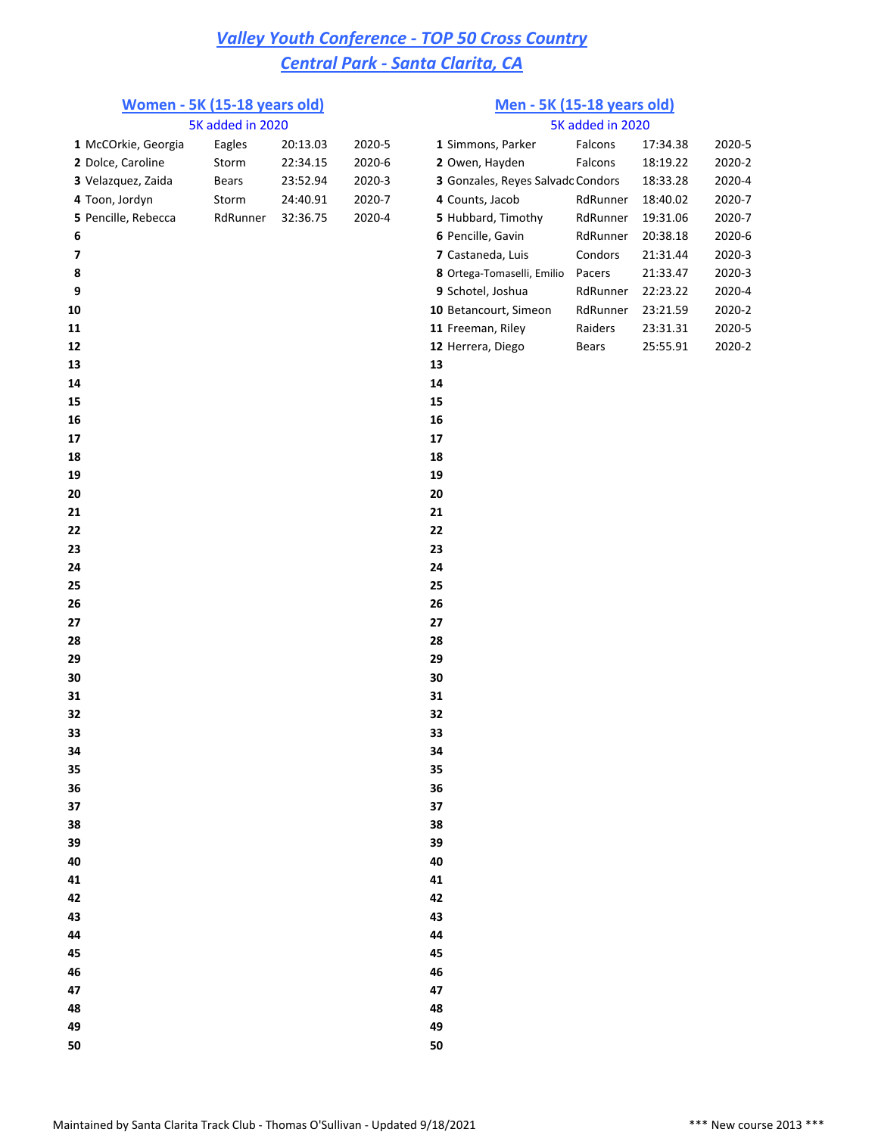### **Women - 5K (15-18 years old) Men - 5K (15-18 years old)**

|    |                     |                  |          |        | <u>ment on Ho Ho, ethology</u>    |                  |          |        |
|----|---------------------|------------------|----------|--------|-----------------------------------|------------------|----------|--------|
|    |                     | 5K added in 2020 |          |        |                                   | 5K added in 2020 |          |        |
|    | 1 McCOrkie, Georgia | Eagles           | 20:13.03 | 2020-5 | 1 Simmons, Parker                 | Falcons          | 17:34.38 | 2020-5 |
|    | 2 Dolce, Caroline   | Storm            | 22:34.15 | 2020-6 | 2 Owen, Hayden                    | Falcons          | 18:19.22 | 2020-2 |
|    | 3 Velazquez, Zaida  | Bears            | 23:52.94 | 2020-3 | 3 Gonzales, Reyes Salvadc Condors |                  | 18:33.28 | 2020-4 |
|    | 4 Toon, Jordyn      | Storm            | 24:40.91 | 2020-7 | 4 Counts, Jacob                   | RdRunner         | 18:40.02 | 2020-7 |
|    | 5 Pencille, Rebecca | RdRunner         | 32:36.75 | 2020-4 | 5 Hubbard, Timothy                | RdRunner         | 19:31.06 | 2020-7 |
| 6  |                     |                  |          |        | 6 Pencille, Gavin                 | RdRunner         | 20:38.18 | 2020-6 |
| 7  |                     |                  |          |        | 7 Castaneda, Luis                 | Condors          | 21:31.44 | 2020-3 |
| 8  |                     |                  |          |        | 8 Ortega-Tomaselli, Emilio        | Pacers           | 21:33.47 | 2020-3 |
| 9  |                     |                  |          |        | 9 Schotel, Joshua                 | RdRunner         | 22:23.22 | 2020-4 |
| 10 |                     |                  |          |        | 10 Betancourt, Simeon             | RdRunner         | 23:21.59 | 2020-2 |
| 11 |                     |                  |          |        | 11 Freeman, Riley                 | Raiders          | 23:31.31 | 2020-5 |
| 12 |                     |                  |          |        | 12 Herrera, Diego                 | <b>Bears</b>     | 25:55.91 | 2020-2 |
| 13 |                     |                  |          |        | 13                                |                  |          |        |
| 14 |                     |                  |          |        | 14                                |                  |          |        |
| 15 |                     |                  |          |        | 15                                |                  |          |        |
| 16 |                     |                  |          |        | 16                                |                  |          |        |
| 17 |                     |                  |          |        | 17                                |                  |          |        |
| 18 |                     |                  |          |        | 18                                |                  |          |        |
| 19 |                     |                  |          |        | 19                                |                  |          |        |
| 20 |                     |                  |          |        | 20                                |                  |          |        |
| 21 |                     |                  |          |        | 21                                |                  |          |        |
| 22 |                     |                  |          |        | 22                                |                  |          |        |
| 23 |                     |                  |          |        | 23                                |                  |          |        |
| 24 |                     |                  |          |        | 24                                |                  |          |        |
| 25 |                     |                  |          |        | 25                                |                  |          |        |
| 26 |                     |                  |          |        | 26                                |                  |          |        |
| 27 |                     |                  |          |        | 27                                |                  |          |        |
| 28 |                     |                  |          |        | 28                                |                  |          |        |
| 29 |                     |                  |          |        | 29                                |                  |          |        |
| 30 |                     |                  |          |        | 30                                |                  |          |        |
| 31 |                     |                  |          |        | 31                                |                  |          |        |
| 32 |                     |                  |          |        | 32                                |                  |          |        |
| 33 |                     |                  |          |        | 33                                |                  |          |        |
| 34 |                     |                  |          |        | 34                                |                  |          |        |
| 35 |                     |                  |          |        | 35                                |                  |          |        |
| 36 |                     |                  |          |        | 36                                |                  |          |        |
| 37 |                     |                  |          |        | 37                                |                  |          |        |
| 38 |                     |                  |          |        | 38                                |                  |          |        |
| 39 |                     |                  |          |        | 39                                |                  |          |        |
| 40 |                     |                  |          |        | 40                                |                  |          |        |
| 41 |                     |                  |          |        | 41                                |                  |          |        |
| 42 |                     |                  |          |        | 42                                |                  |          |        |
| 43 |                     |                  |          |        | 43                                |                  |          |        |
| 44 |                     |                  |          |        | 44                                |                  |          |        |
| 45 |                     |                  |          |        | 45                                |                  |          |        |
|    |                     |                  |          |        | 46                                |                  |          |        |
| 46 |                     |                  |          |        | 47                                |                  |          |        |
| 47 |                     |                  |          |        |                                   |                  |          |        |
| 48 |                     |                  |          |        | 48                                |                  |          |        |
| 49 |                     |                  |          |        | 49                                |                  |          |        |
| 50 |                     |                  |          |        | 50                                |                  |          |        |

|                                          | 5K added in 2020 |          |        |
|------------------------------------------|------------------|----------|--------|
| 1 Simmons, Parker                        | Falcons          | 17:34.38 | 2020-5 |
| 2 Owen, Hayden                           | Falcons          | 18:19.22 | 2020-2 |
| <b>3</b> Gonzales, Reyes Salvadc Condors |                  | 18:33.28 | 2020-4 |
| 4 Counts, Jacob                          | RdRunner         | 18:40.02 | 2020-7 |
| 5 Hubbard, Timothy                       | RdRunner         | 19:31.06 | 2020-7 |
| 6 Pencille, Gavin                        | RdRunner         | 20:38.18 | 2020-6 |
| 7 Castaneda, Luis                        | Condors          | 21:31.44 | 2020-3 |
| 8 Ortega-Tomaselli, Emilio               | Pacers           | 21:33.47 | 2020-3 |
| 9 Schotel, Joshua                        | RdRunner         | 22:23.22 | 2020-4 |
| <b>0</b> Betancourt, Simeon              | RdRunner         | 23:21.59 | 2020-2 |
| 1 Freeman, Rilev                         | Raiders          | 23:31.31 | 2020-5 |
| 2 Herrera, Diego                         | Bears            | 25:55.91 | 2020-2 |
|                                          |                  |          |        |